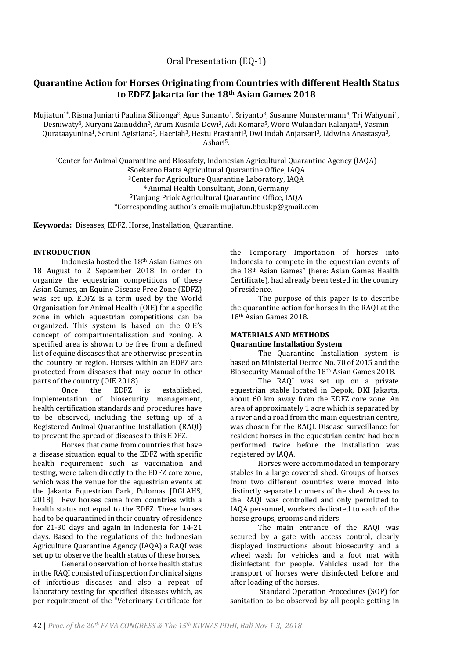## **Quarantine Action for Horses Originating from Countries with different Health Status to EDFZ Jakarta for the 18th Asian Games 2018**

Mujiatun<sup>1\*</sup>, Risma Juniarti Paulina Silitonga<sup>2</sup>, Agus Sunanto<sup>1</sup>, Sriyanto<sup>3</sup>, Susanne Munstermann<sup>4</sup>, Tri Wahyuni<sup>1</sup>, Desniwaty3, Nuryani Zainuddin3, Arum Kusnila Dewi3, Adi Komara5, Woro Wulandari Kalanjati1, Yasmin Qurataayunina1, Seruni Agistiana3, Haeriah3, Hestu Prastanti3, Dwi Indah Anjarsari3, Lidwina Anastasya3, Ashari5.

Center for Animal Quarantine and Biosafety, Indonesian Agricultural Quarantine Agency (IAQA) Soekarno Hatta Agricultural Quarantine Office, IAQA Center for Agriculture Quarantine Laboratory, IAQA Animal Health Consultant, Bonn, Germany Tanjung Priok Agricultural Quarantine Office, IAQA \*Corresponding author's email: mujiatun.bbuskp@gmail.com

**Keywords:** Diseases, EDFZ, Horse, Installation, Quarantine.

## **INTRODUCTION**

Indonesia hosted the 18th Asian Games on 18 August to 2 September 2018. In order to organize the equestrian competitions of these Asian Games, an Equine Disease Free Zone (EDFZ) was set up. EDFZ is a term used by the World Organisation for Animal Health (OIE) for a specific zone in which equestrian competitions can be organized. This system is based on the OIE's concept of compartmentalisation and zoning. A specified area is shown to be free from a defined list of equine diseases that are otherwise present in the country or region. Horses within an EDFZ are protected from diseases that may occur in other parts of the country (OIE 2018).

Once the EDFZ is established, implementation of biosecurity management, health certification standards and procedures have to be observed, including the setting up of a Registered Animal Quarantine Installation (RAQI) to prevent the spread of diseases to this EDFZ.

Horses that came from countries that have a disease situation equal to the EDFZ with specific health requirement such as vaccination and testing, were taken directly to the EDFZ core zone, which was the venue for the equestrian events at the Jakarta Equestrian Park, Pulomas [DGLAHS, 2018]. Few horses came from countries with a health status not equal to the EDFZ. These horses had to be quarantined in their country of residence for 21-30 days and again in Indonesia for 14-21 days. Based to the regulations of the Indonesian Agriculture Quarantine Agency (IAQA) a RAQI was set up to observe the health status of these horses.

General observation of horse health status in the RAQI consisted of inspection for clinical signs of infectious diseases and also a repeat of laboratory testing for specified diseases which, as per requirement of the "Veterinary Certificate for the Temporary Importation of horses into Indonesia to compete in the equestrian events of the 18th Asian Games" (here: Asian Games Health Certificate), had already been tested in the country of residence.

The purpose of this paper is to describe the quarantine action for horses in the RAQI at the 18th Asian Games 2018.

# **MATERIALS AND METHODS**

**Quarantine Installation System** The Quarantine Installation system is

based on Ministerial Decree No. 70 of 2015 and the Biosecurity Manual of the 18th Asian Games 2018.

The RAQI was set up on a private equestrian stable located in Depok, DKI Jakarta, about 60 km away from the EDFZ core zone. An area of approximately 1 acre which is separated by a river and a road from the main equestrian centre, was chosen for the RAQI. Disease surveillance for resident horses in the equestrian centre had been performed twice before the installation was registered by IAQA.

Horses were accommodated in temporary stables in a large covered shed. Groups of horses from two different countries were moved into distinctly separated corners of the shed. Access to the RAQI was controlled and only permitted to IAQA personnel, workers dedicated to each of the horse groups, grooms and riders.

The main entrance of the RAQI was secured by a gate with access control, clearly displayed instructions about biosecurity and a wheel wash for vehicles and a foot mat with disinfectant for people. Vehicles used for the transport of horses were disinfected before and after loading of the horses.

Standard Operation Procedures (SOP) for sanitation to be observed by all people getting in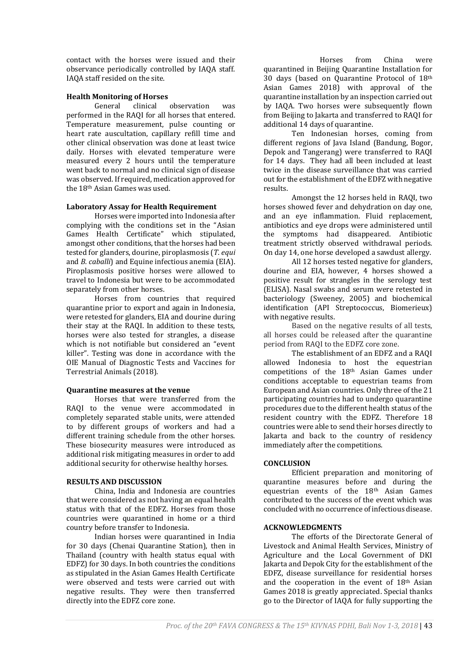contact with the horses were issued and their observance periodically controlled by IAQA staff. IAQA staff resided on the site.

## **Health Monitoring of Horses**

General clinical observation was performed in the RAQI for all horses that entered. Temperature measurement, pulse counting or heart rate auscultation, capillary refill time and other clinical observation was done at least twice daily. Horses with elevated temperature were measured every 2 hours until the temperature went back to normal and no clinical sign of disease was observed. If required, medication approved for the 18th Asian Games was used.

#### **Laboratory Assay for Health Requirement**

Horses were imported into Indonesia after complying with the conditions set in the "Asian Games Health Certificate" which stipulated, amongst other conditions, that the horses had been tested for glanders, dourine, piroplasmosis (*T. equi* and *B. caballi*) and Equine infectious anemia (EIA). Piroplasmosis positive horses were allowed to travel to Indonesia but were to be accommodated separately from other horses.

Horses from countries that required quarantine prior to export and again in Indonesia, were retested for glanders, EIA and dourine during their stay at the RAQI. In addition to these tests, horses were also tested for strangles, a disease which is not notifiable but considered an "event killer". Testing was done in accordance with the OIE Manual of Diagnostic Tests and Vaccines for Terrestrial Animals (2018).

#### **Quarantine measures at the venue**

Horses that were transferred from the RAQI to the venue were accommodated in completely separated stable units, were attended to by different groups of workers and had a different training schedule from the other horses. These biosecurity measures were introduced as additional risk mitigating measures in order to add additional security for otherwise healthy horses.

## **RESULTS AND DISCUSSION**

China, India and Indonesia are countries that were considered as not having an equal health status with that of the EDFZ. Horses from those countries were quarantined in home or a third country before transfer to Indonesia.

Indian horses were quarantined in India for 30 days (Chenai Quarantine Station), then in Thailand (country with health status equal with EDFZ) for 30 days. In both countries the conditions as stipulated in the Asian Games Health Certificate were observed and tests were carried out with negative results. They were then transferred directly into the EDFZ core zone.

Horses from China were quarantined in Beijing Quarantine Installation for 30 days (based on Quarantine Protocol of 18th Asian Games 2018) with approval of the quarantine installation by an inspection carried out by IAQA. Two horses were subsequently flown from Beijing to Jakarta and transferred to RAQI for additional 14 days of quarantine.

Ten Indonesian horses, coming from different regions of Java Island (Bandung, Bogor, Depok and Tangerang) were transferred to RAQI for 14 days. They had all been included at least twice in the disease surveillance that was carried out for the establishment of the EDFZ with negative results.

Amongst the 12 horses held in RAQI, two horses showed fever and dehydration on day one, and an eye inflammation. Fluid replacement, antibiotics and eye drops were administered until the symptoms had disappeared. Antibiotic treatment strictly observed withdrawal periods. On day 14, one horse developed a sawdust allergy.

All 12 horses tested negative for glanders, dourine and EIA, however, 4 horses showed a positive result for strangles in the serology test (ELISA). Nasal swabs and serum were retested in bacteriology (Sweeney, 2005) and biochemical identification (API Streptococcus, Biomerieux) with negative results.

Based on the negative results of all tests, all horses could be released after the quarantine period from RAQI to the EDFZ core zone.

The establishment of an EDFZ and a RAQI allowed Indonesia to host the equestrian competitions of the 18th Asian Games under conditions acceptable to equestrian teams from European and Asian countries. Only three of the 21 participating countries had to undergo quarantine procedures due to the different health status of the resident country with the EDFZ. Therefore 18 countries were able to send their horses directly to Jakarta and back to the country of residency immediately after the competitions.

## **CONCLUSION**

Efficient preparation and monitoring of quarantine measures before and during the equestrian events of the 18th Asian Games contributed to the success of the event which was concluded with no occurrence of infectious disease.

## **ACKNOWLEDGMENTS**

The efforts of the Directorate General of Livestock and Animal Health Services, Ministry of Agriculture and the Local Government of DKI Jakarta and Depok City for the establishment of the EDFZ, disease surveillance for residential horses and the cooperation in the event of 18th Asian Games 2018 is greatly appreciated. Special thanks go to the Director of IAQA for fully supporting the